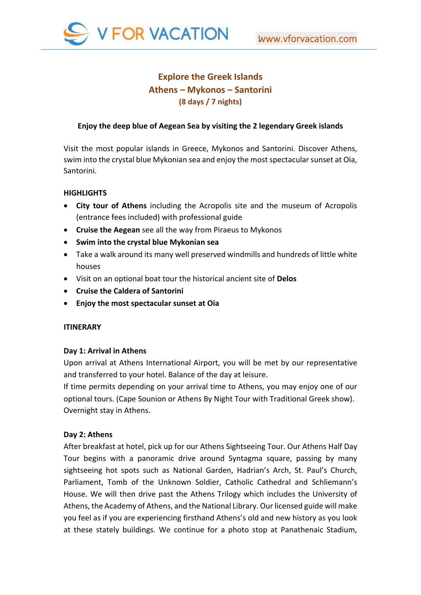

# **Explore the Greek Islands Athens – Mykonos – Santorini (8 days / 7 nights)**

# **Enjoy the deep blue of Aegean Sea by visiting the 2 legendary Greek islands**

Visit the most popular islands in Greece, Mykonos and Santorini. Discοver Athens, swim into the crystal blue Mykonian sea and enjoy the most spectacular sunset at Oia, Santorini.

## **HIGHLIGHTS**

- **City tour of Athens** including the Acropolis site and the museum of Acropolis (entrance fees included) with professional guide
- **Cruise the Aegean** see all the way from Piraeus to Mykonos
- **Swim into the crystal blue Mykonian sea**
- Take a walk around its many well preserved windmills and hundreds of little white houses
- Visit on an optional boat tour the historical ancient site of **Delos**
- **Cruise the Caldera of Santorini**
- **Enjoy the most spectacular sunset at Oia**

## **ITINERARY**

## **Day 1: Arrival in Athens**

Upon arrival at Athens International Airport, you will be met by our representative and transferred to your hotel. Balance of the day at leisure.

If time permits depending on your arrival time to Athens, you may enjoy one of our optional tours. (Cape Sounion or Athens By Night Tour with Traditional Greek show). Overnight stay in Athens.

## **Day 2: Athens**

After breakfast at hotel, pick up for our Athens Sightseeing Tour. Our Athens Half Day Tour begins with a panoramic drive around Syntagma square, passing by many sightseeing hot spots such as National Garden, Hadrian's Arch, St. Paul's Church, Parliament, Tomb of the Unknown Soldier, Catholic Cathedral and Schliemann's House. We will then drive past the Athens Trilogy which includes the University of Athens, the Academy of Athens, and the National Library. Our licensed guide will make you feel as if you are experiencing firsthand Athens's old and new history as you look at these stately buildings. We continue for a photo stop at Panathenaic Stadium,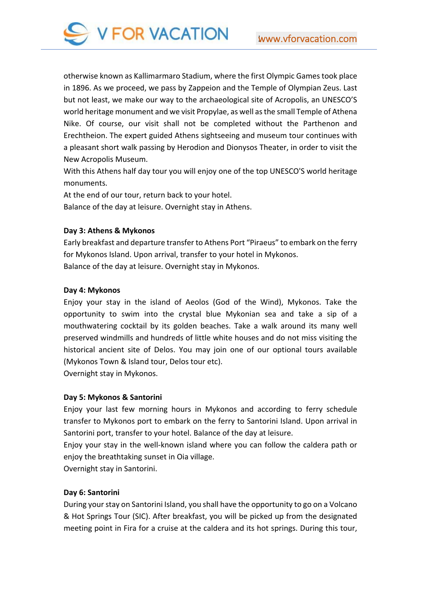

otherwise known as Kallimarmaro Stadium, where the first Olympic Games took place in 1896. As we proceed, we pass by Zappeion and the Temple of Olympian Zeus. Last but not least, we make our way to the archaeological site of Acropolis, an UNESCO'S world heritage monument and we visit Propylae, as well as the small Temple of Athena Nike. Of course, our visit shall not be completed without the Parthenon and Erechtheion. The expert guided Athens sightseeing and museum tour continues with a pleasant short walk passing by Herodion and Dionysos Theater, in order to visit the New Acropolis Museum.

With this Athens half day tour you will enjoy one of the top UNESCO'S world heritage monuments.

At the end of our tour, return back to your hotel.

Balance of the day at leisure. Overnight stay in Athens.

# **Day 3: Athens & Mykonos**

Early breakfast and departure transfer to Athens Port "Piraeus" to embark on the ferry for Mykonos Island. Upon arrival, transfer to your hotel in Mykonos. Balance of the day at leisure. Overnight stay in Mykonos.

# **Day 4: Mykonos**

Enjoy your stay in the island of Aeolos (God of the Wind), Mykonos. Take the opportunity to swim into the crystal blue Mykonian sea and take a sip of a mouthwatering cocktail by its golden beaches. Take a walk around its many well preserved windmills and hundreds of little white houses and do not miss visiting the historical ancient site of Delos. You may join one of our optional tours available (Mykonos Town & Island tour, Delos tour etc).

Overnight stay in Mykonos.

# **Day 5: Mykonos & Santorini**

Enjoy your last few morning hours in Mykonos and according to ferry schedule transfer to Mykonos port to embark on the ferry to Santorini Island. Upon arrival in Santorini port, transfer to your hotel. Balance of the day at leisure.

Enjoy your stay in the well‐known island where you can follow the caldera path or enjoy the breathtaking sunset in Oia village.

Overnight stay in Santorini.

# **Day 6: Santorini**

During your stay on Santorini Island, you shall have the opportunity to go on a Volcano & Hot Springs Tour (SIC). After breakfast, you will be picked up from the designated meeting point in Fira for a cruise at the caldera and its hot springs. During this tour,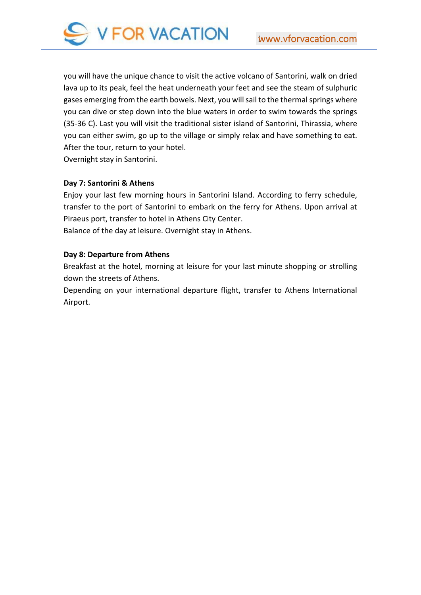

you will have the unique chance to visit the active volcano of Santorini, walk on dried lava up to its peak, feel the heat underneath your feet and see the steam of sulphuric gases emerging from the earth bowels. Next, you will sail to the thermal springs where you can dive or step down into the blue waters in order to swim towards the springs (35‐36 C). Last you will visit the traditional sister island of Santorini, Thirassia, where you can either swim, go up to the village or simply relax and have something to eat. After the tour, return to your hotel.

Overnight stay in Santorini.

## **Day 7: Santorini & Athens**

Enjoy your last few morning hours in Santorini Island. According to ferry schedule, transfer to the port of Santorini to embark on the ferry for Athens. Upon arrival at Piraeus port, transfer to hotel in Athens City Center. Balance of the day at leisure. Overnight stay in Athens.

# **Day 8: Departure from Athens**

Breakfast at the hotel, morning at leisure for your last minute shopping or strolling down the streets of Athens.

Depending on your international departure flight, transfer to Athens International Airport.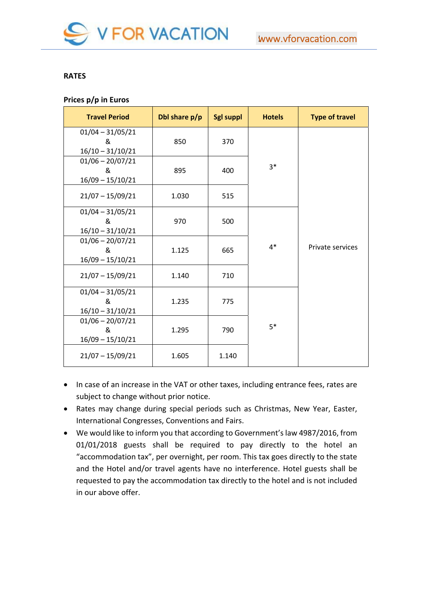

## **RATES**

# **Prices p/p in Euros**

| <b>Travel Period</b>                          | Dbl share p/p | <b>Sgl suppl</b> | <b>Hotels</b> | <b>Type of travel</b> |
|-----------------------------------------------|---------------|------------------|---------------|-----------------------|
| $01/04 - 31/05/21$<br>&<br>$16/10 - 31/10/21$ | 850           | 370              |               |                       |
| $01/06 - 20/07/21$<br>&<br>$16/09 - 15/10/21$ | 895           | 400              | $3*$          |                       |
| $21/07 - 15/09/21$                            | 1.030         | 515              |               |                       |
| $01/04 - 31/05/21$<br>ୡ<br>$16/10 - 31/10/21$ | 970           | 500              |               |                       |
| $01/06 - 20/07/21$<br>&<br>$16/09 - 15/10/21$ | 1.125         | 665              | $4*$          | Private services      |
| $21/07 - 15/09/21$                            | 1.140         | 710              |               |                       |
| $01/04 - 31/05/21$<br>ୡ<br>$16/10 - 31/10/21$ | 1.235         | 775              |               |                       |
| $01/06 - 20/07/21$<br>&<br>$16/09 - 15/10/21$ | 1.295         | 790              | $5*$          |                       |
| $21/07 - 15/09/21$                            | 1.605         | 1.140            |               |                       |

- In case of an increase in the VAT or other taxes, including entrance fees, rates are subject to change without prior notice.
- Rates may change during special periods such as Christmas, New Year, Easter, International Congresses, Conventions and Fairs.
- We would like to inform you that according to Government's law 4987/2016, from 01/01/2018 guests shall be required to pay directly to the hotel an "accommodation tax", per overnight, per room. This tax goes directly to the state and the Hotel and/or travel agents have no interference. Hotel guests shall be requested to pay the accommodation tax directly to the hotel and is not included in our above offer.